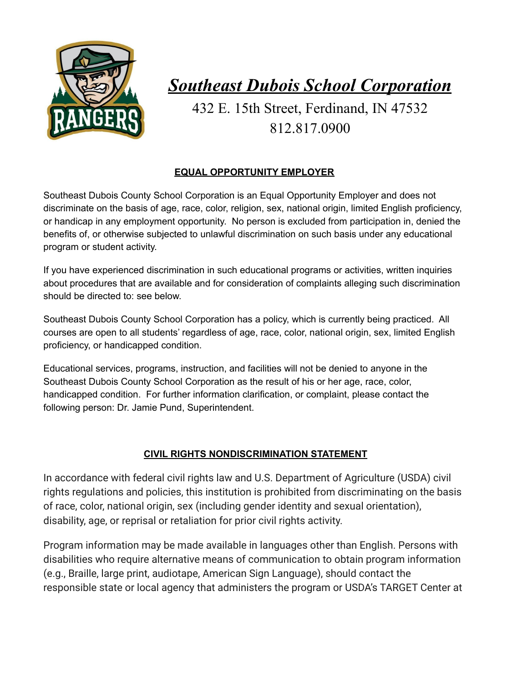

## *Southeast Dubois School Corporation*

432 E. 15th Street, Ferdinand, IN 47532 812.817.0900

## **EQUAL OPPORTUNITY EMPLOYER**

Southeast Dubois County School Corporation is an Equal Opportunity Employer and does not discriminate on the basis of age, race, color, religion, sex, national origin, limited English proficiency, or handicap in any employment opportunity. No person is excluded from participation in, denied the benefits of, or otherwise subjected to unlawful discrimination on such basis under any educational program or student activity.

If you have experienced discrimination in such educational programs or activities, written inquiries about procedures that are available and for consideration of complaints alleging such discrimination should be directed to: see below.

Southeast Dubois County School Corporation has a policy, which is currently being practiced. All courses are open to all students' regardless of age, race, color, national origin, sex, limited English proficiency, or handicapped condition.

Educational services, programs, instruction, and facilities will not be denied to anyone in the Southeast Dubois County School Corporation as the result of his or her age, race, color, handicapped condition. For further information clarification, or complaint, please contact the following person: Dr. Jamie Pund, Superintendent.

## **CIVIL RIGHTS NONDISCRIMINATION STATEMENT**

In accordance with federal civil rights law and U.S. Department of Agriculture (USDA) civil rights regulations and policies, this institution is prohibited from discriminating on the basis of race, color, national origin, sex (including gender identity and sexual orientation), disability, age, or reprisal or retaliation for prior civil rights activity.

Program information may be made available in languages other than English. Persons with disabilities who require alternative means of communication to obtain program information (e.g., Braille, large print, audiotape, American Sign Language), should contact the responsible state or local agency that administers the program or USDA's TARGET Center at